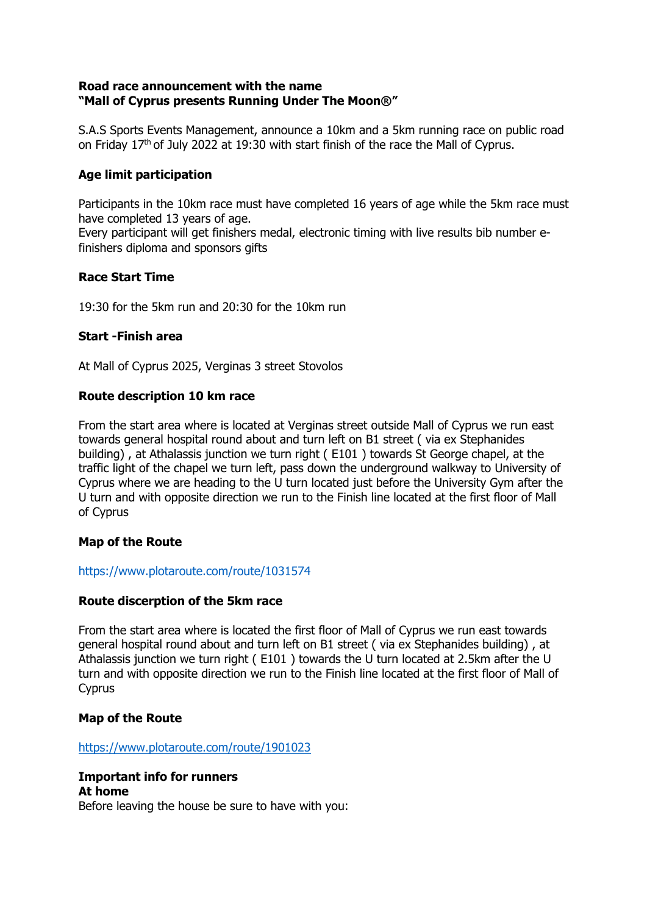#### **Road race announcement with the name "Mall of Cyprus presents Running Under The Moon®"**

S.A.S Sports Events Management, announce a 10km and a 5km running race on public road on Friday  $17<sup>th</sup>$  of July 2022 at 19:30 with start finish of the race the Mall of Cyprus.

# **Age limit participation**

Participants in the 10km race must have completed 16 years of age while the 5km race must have completed 13 years of age.

Every participant will get finishers medal, electronic timing with live results bib number efinishers diploma and sponsors gifts

# **Race Start Time**

19:30 for the 5km run and 20:30 for the 10km run

# **Start -Finish area**

At Mall of Cyprus 2025, Verginas 3 street Stovolos

#### **Route description 10 km race**

From the start area where is located at Verginas street outside Mall of Cyprus we run east towards general hospital round about and turn left on B1 street ( via ex Stephanides building) , at Athalassis junction we turn right ( Ε101 ) towards St George chapel, at the traffic light of the chapel we turn left, pass down the underground walkway to University of Cyprus where we are heading to the U turn located just before the University Gym after the U turn and with opposite direction we run to the Finish line located at the first floor of Mall of Cyprus

#### **Map of the Route**

https://www.plotaroute.com/route/1031574

#### **Route discerption of the 5km race**

From the start area where is located the first floor of Mall of Cyprus we run east towards general hospital round about and turn left on B1 street ( via ex Stephanides building) , at Athalassis junction we turn right ( Ε101 ) towards the U turn located at 2.5km after the U turn and with opposite direction we run to the Finish line located at the first floor of Mall of Cyprus

#### **Map of the Route**

https://www.plotaroute.com/route/1901023

# **Important info for runners**

# **At home**

Before leaving the house be sure to have with you: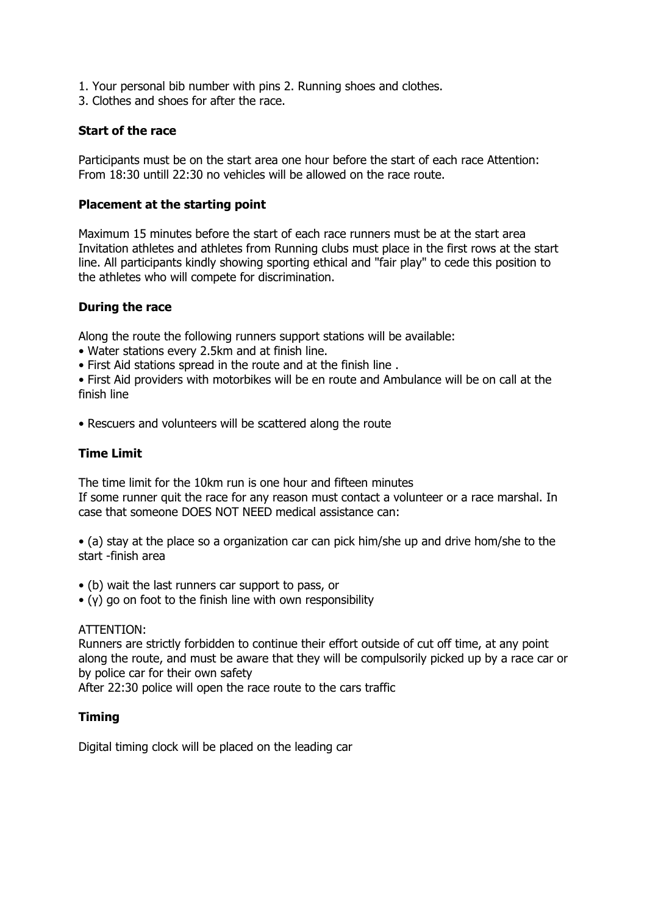- 1. Your personal bib number with pins 2. Running shoes and clothes.
- 3. Clothes and shoes for after the race.

# **Start of the race**

Participants must be on the start area one hour before the start of each race Attention: From 18:30 untill 22:30 no vehicles will be allowed on the race route.

#### **Placement at the starting point**

Maximum 15 minutes before the start of each race runners must be at the start area Invitation athletes and athletes from Running clubs must place in the first rows at the start line. All participants kindly showing sporting ethical and "fair play" to cede this position to the athletes who will compete for discrimination.

# **During the race**

Along the route the following runners support stations will be available:

- Water stations every 2.5km and at finish line.
- First Aid stations spread in the route and at the finish line .

• First Aid providers with motorbikes will be en route and Ambulance will be on call at the finish line

• Rescuers and volunteers will be scattered along the route

# **Time Limit**

The time limit for the 10km run is one hour and fifteen minutes If some runner quit the race for any reason must contact a volunteer or a race marshal. In case that someone DOES NOT NEED medical assistance can:

• (a) stay at the place so a organization car can pick him/she up and drive hom/she to the start -finish area

- (b) wait the last runners car support to pass, or
- (γ) go on foot to the finish line with own responsibility

#### ATTENTION:

Runners are strictly forbidden to continue their effort outside of cut off time, at any point along the route, and must be aware that they will be compulsorily picked up by a race car or by police car for their own safety

After 22:30 police will open the race route to the cars traffic

# **Timing**

Digital timing clock will be placed on the leading car